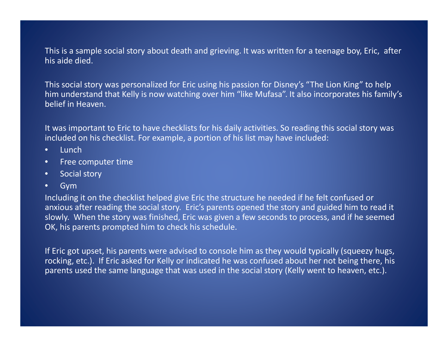This is a sample social story about death and grieving. It was written for <sup>a</sup> teenage boy, Eric, after his aide died.

This social story was personalized for Eric using his passion for Disney's "The Lion King" to help him understand that Kelly is now watching over him "like Mufasa". It also incorporates his family's belief in Heaven.

It was important to Eric to have checklists for his daily activities. So reading this social story was included on his checklist. For example, <sup>a</sup> portion of his list may have included:

- •Lunch
- •• Free computer time
- $\bullet$ Social story
- •Gym

Including it on the checklist helped give Eric the structure he needed if he felt confused or anxious after reading the social story. Eric's parents opened the story and guided him to read it slowly. When the story was finished, Eric was given <sup>a</sup> few seconds to process, and if he seemed OK, his parents prompted him to check his schedule.

If Eric got upset, his parents were advised to console him as they would typically (squeezy hugs, rocking, etc.). If Eric asked for Kelly or indicated he was confused about her not being there, his parents used the same language that was used in the social story (Kelly went to heaven, etc.).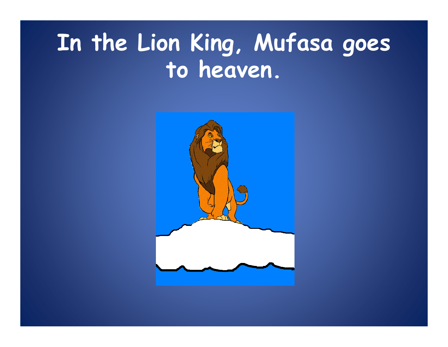# In the Lion King, Mufasa goes to heaven.

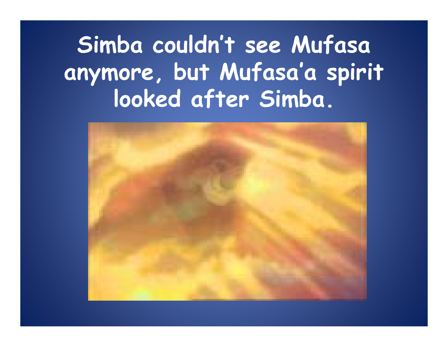# Simba couldn't see Mufasa anymore, but Mufasa'a spirit looked after Simba.

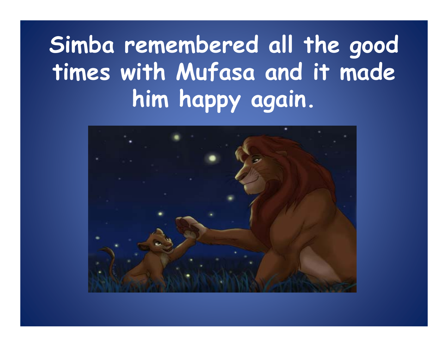# Simba remembered all the good times with Mufasa and it made him happy again.

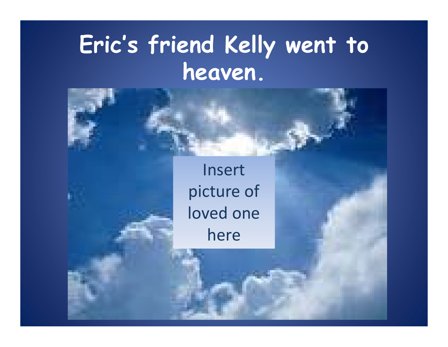## **Eric's friend Kelly went to**  heaven.

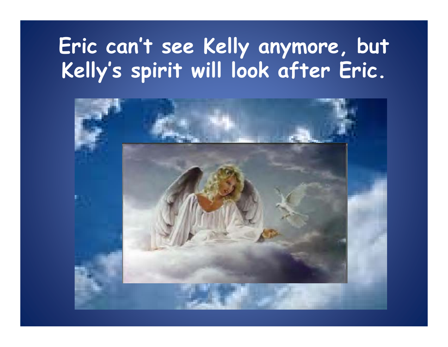#### **Eric can't see Kelly anymore, but**  Kelly's spirit will look after Eric. **y <sup>s</sup> sp** irit will look after Eric.

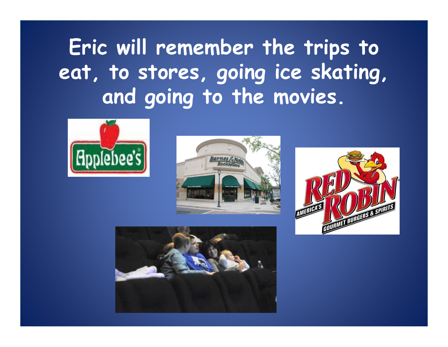### **Eric will remember the trips to eat, to stores, going ice skating, and g g oin g to the movies.**







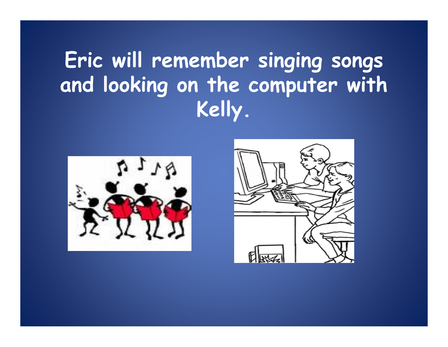### **Eric will remember singing songs and looking on the computer with Kelly .**



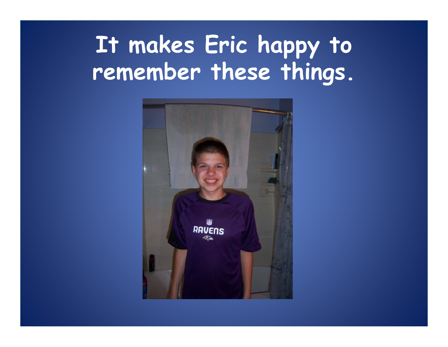# **It makes Eric happy to rememb th thi ber these things.**

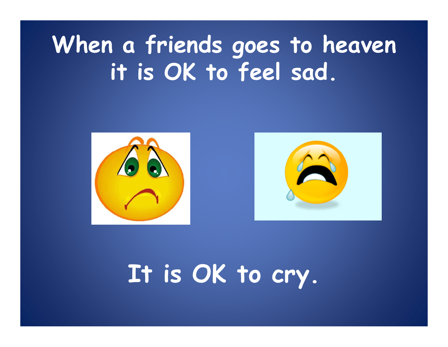# **When a friends goes to heaven**  it is OK to feel sad.



# **It is OK to cry.**